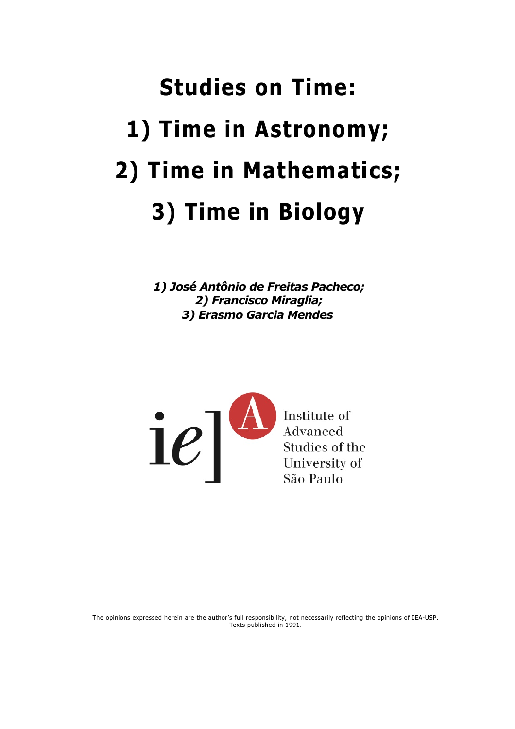## **Studies on Time: 1) Time in Astronomy; 2) Time in Mathematics; 3) Time in Biology**

*1) José Antônio de Freitas Pacheco; 2) Francisco Miraglia; 3) Erasmo Garcia Mendes*



The opinions expressed herein are the author's full responsibility, not necessarily reflecting the opinions of IEA-USP. Texts published in 1991.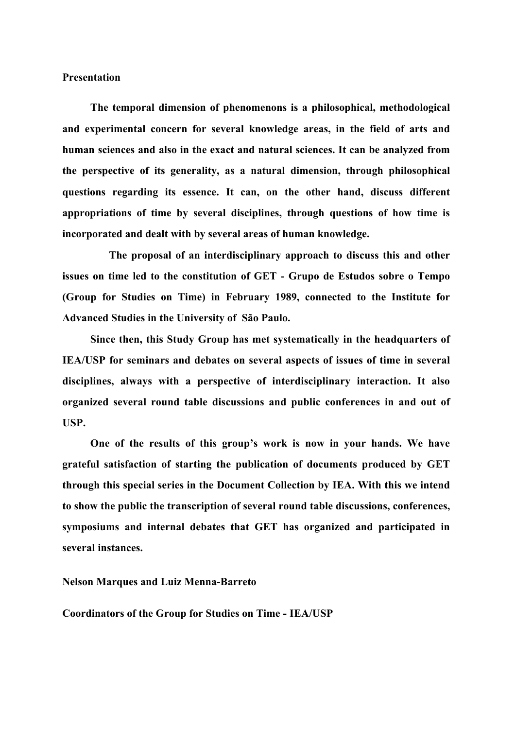## **Presentation**

**The temporal dimension of phenomenons is a philosophical, methodological and experimental concern for several knowledge areas, in the field of arts and human sciences and also in the exact and natural sciences. It can be analyzed from the perspective of its generality, as a natural dimension, through philosophical questions regarding its essence. It can, on the other hand, discuss different appropriations of time by several disciplines, through questions of how time is incorporated and dealt with by several areas of human knowledge.**

**The proposal of an interdisciplinary approach to discuss this and other issues on time led to the constitution of GET - Grupo de Estudos sobre o Tempo (Group for Studies on Time) in February 1989, connected to the Institute for Advanced Studies in the University of São Paulo.**

**Since then, this Study Group has met systematically in the headquarters of IEA/USP for seminars and debates on several aspects of issues of time in several disciplines, always with a perspective of interdisciplinary interaction. It also organized several round table discussions and public conferences in and out of USP.**

**One of the results of this group's work is now in your hands. We have grateful satisfaction of starting the publication of documents produced by GET through this special series in the Document Collection by IEA. With this we intend to show the public the transcription of several round table discussions, conferences, symposiums and internal debates that GET has organized and participated in several instances.**

## **Nelson Marques and Luiz Menna-Barreto**

**Coordinators of the Group for Studies on Time - IEA/USP**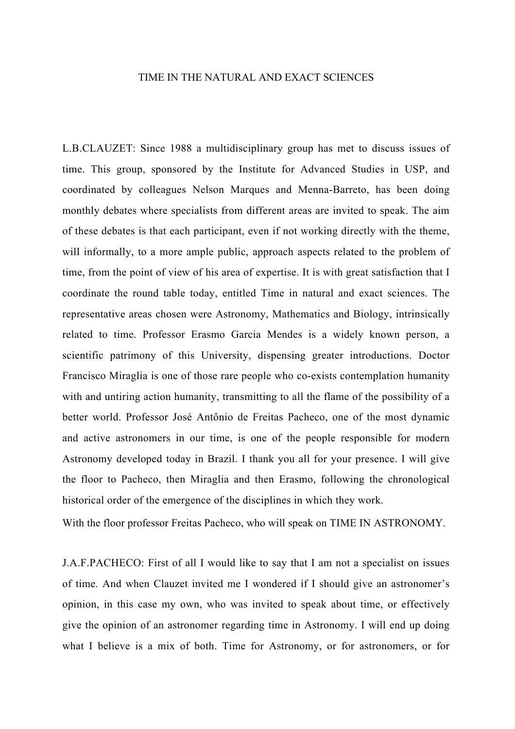## TIME IN THE NATURAL AND EXACT SCIENCES

L.B.CLAUZET: Since 1988 a multidisciplinary group has met to discuss issues of time. This group, sponsored by the Institute for Advanced Studies in USP, and coordinated by colleagues Nelson Marques and Menna-Barreto, has been doing monthly debates where specialists from different areas are invited to speak. The aim of these debates is that each participant, even if not working directly with the theme, will informally, to a more ample public, approach aspects related to the problem of time, from the point of view of his area of expertise. It is with great satisfaction that I coordinate the round table today, entitled Time in natural and exact sciences. The representative areas chosen were Astronomy, Mathematics and Biology, intrinsically related to time. Professor Erasmo Garcia Mendes is a widely known person, a scientific patrimony of this University, dispensing greater introductions. Doctor Francisco Miraglia is one of those rare people who co-exists contemplation humanity with and untiring action humanity, transmitting to all the flame of the possibility of a better world. Professor José Antônio de Freitas Pacheco, one of the most dynamic and active astronomers in our time, is one of the people responsible for modern Astronomy developed today in Brazil. I thank you all for your presence. I will give the floor to Pacheco, then Miraglia and then Erasmo, following the chronological historical order of the emergence of the disciplines in which they work.

With the floor professor Freitas Pacheco, who will speak on TIME IN ASTRONOMY.

J.A.F.PACHECO: First of all I would like to say that I am not a specialist on issues of time. And when Clauzet invited me I wondered if I should give an astronomer's opinion, in this case my own, who was invited to speak about time, or effectively give the opinion of an astronomer regarding time in Astronomy. I will end up doing what I believe is a mix of both. Time for Astronomy, or for astronomers, or for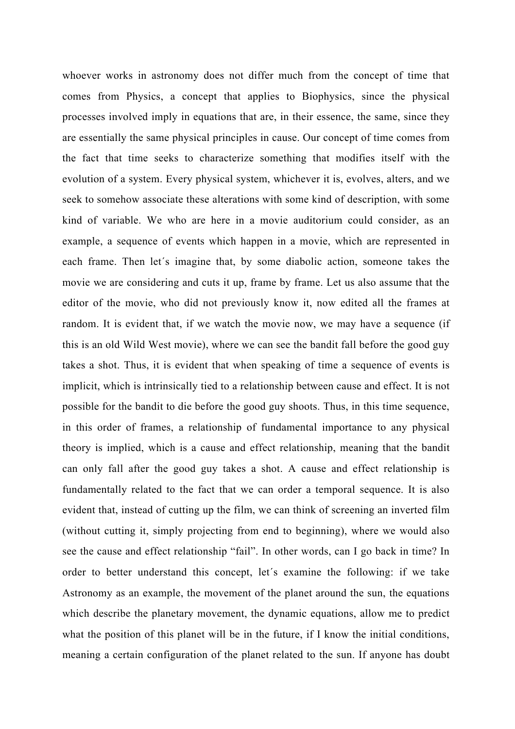whoever works in astronomy does not differ much from the concept of time that comes from Physics, a concept that applies to Biophysics, since the physical processes involved imply in equations that are, in their essence, the same, since they are essentially the same physical principles in cause. Our concept of time comes from the fact that time seeks to characterize something that modifies itself with the evolution of a system. Every physical system, whichever it is, evolves, alters, and we seek to somehow associate these alterations with some kind of description, with some kind of variable. We who are here in a movie auditorium could consider, as an example, a sequence of events which happen in a movie, which are represented in each frame. Then let´s imagine that, by some diabolic action, someone takes the movie we are considering and cuts it up, frame by frame. Let us also assume that the editor of the movie, who did not previously know it, now edited all the frames at random. It is evident that, if we watch the movie now, we may have a sequence (if this is an old Wild West movie), where we can see the bandit fall before the good guy takes a shot. Thus, it is evident that when speaking of time a sequence of events is implicit, which is intrinsically tied to a relationship between cause and effect. It is not possible for the bandit to die before the good guy shoots. Thus, in this time sequence, in this order of frames, a relationship of fundamental importance to any physical theory is implied, which is a cause and effect relationship, meaning that the bandit can only fall after the good guy takes a shot. A cause and effect relationship is fundamentally related to the fact that we can order a temporal sequence. It is also evident that, instead of cutting up the film, we can think of screening an inverted film (without cutting it, simply projecting from end to beginning), where we would also see the cause and effect relationship "fail". In other words, can I go back in time? In order to better understand this concept, let´s examine the following: if we take Astronomy as an example, the movement of the planet around the sun, the equations which describe the planetary movement, the dynamic equations, allow me to predict what the position of this planet will be in the future, if I know the initial conditions, meaning a certain configuration of the planet related to the sun. If anyone has doubt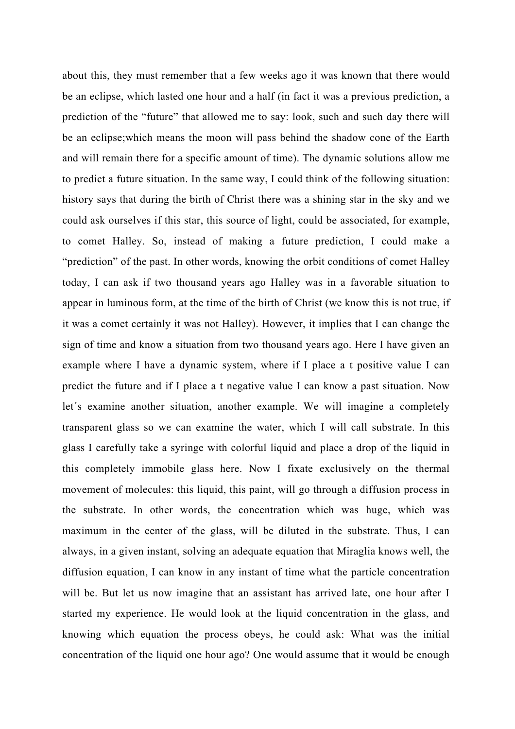about this, they must remember that a few weeks ago it was known that there would be an eclipse, which lasted one hour and a half (in fact it was a previous prediction, a prediction of the "future" that allowed me to say: look, such and such day there will be an eclipse;which means the moon will pass behind the shadow cone of the Earth and will remain there for a specific amount of time). The dynamic solutions allow me to predict a future situation. In the same way, I could think of the following situation: history says that during the birth of Christ there was a shining star in the sky and we could ask ourselves if this star, this source of light, could be associated, for example, to comet Halley. So, instead of making a future prediction, I could make a "prediction" of the past. In other words, knowing the orbit conditions of comet Halley today, I can ask if two thousand years ago Halley was in a favorable situation to appear in luminous form, at the time of the birth of Christ (we know this is not true, if it was a comet certainly it was not Halley). However, it implies that I can change the sign of time and know a situation from two thousand years ago. Here I have given an example where I have a dynamic system, where if I place a t positive value I can predict the future and if I place a t negative value I can know a past situation. Now let´s examine another situation, another example. We will imagine a completely transparent glass so we can examine the water, which I will call substrate. In this glass I carefully take a syringe with colorful liquid and place a drop of the liquid in this completely immobile glass here. Now I fixate exclusively on the thermal movement of molecules: this liquid, this paint, will go through a diffusion process in the substrate. In other words, the concentration which was huge, which was maximum in the center of the glass, will be diluted in the substrate. Thus, I can always, in a given instant, solving an adequate equation that Miraglia knows well, the diffusion equation, I can know in any instant of time what the particle concentration will be. But let us now imagine that an assistant has arrived late, one hour after I started my experience. He would look at the liquid concentration in the glass, and knowing which equation the process obeys, he could ask: What was the initial concentration of the liquid one hour ago? One would assume that it would be enough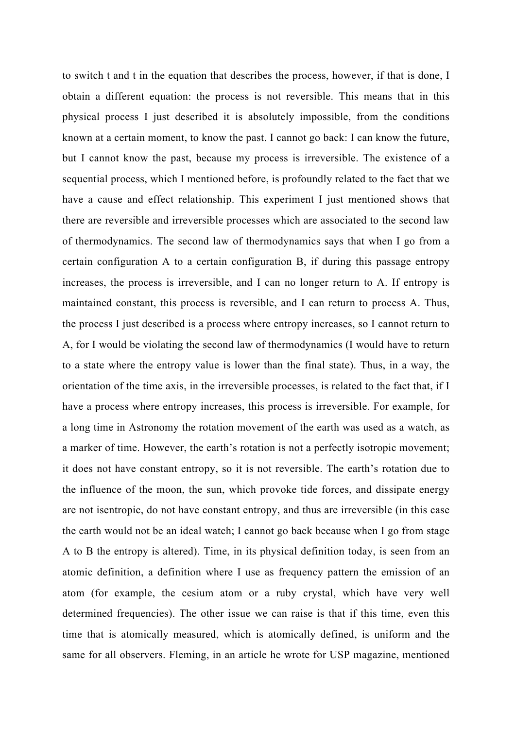to switch t and t in the equation that describes the process, however, if that is done, I obtain a different equation: the process is not reversible. This means that in this physical process I just described it is absolutely impossible, from the conditions known at a certain moment, to know the past. I cannot go back: I can know the future, but I cannot know the past, because my process is irreversible. The existence of a sequential process, which I mentioned before, is profoundly related to the fact that we have a cause and effect relationship. This experiment I just mentioned shows that there are reversible and irreversible processes which are associated to the second law of thermodynamics. The second law of thermodynamics says that when I go from a certain configuration A to a certain configuration B, if during this passage entropy increases, the process is irreversible, and I can no longer return to A. If entropy is maintained constant, this process is reversible, and I can return to process A. Thus, the process I just described is a process where entropy increases, so I cannot return to A, for I would be violating the second law of thermodynamics (I would have to return to a state where the entropy value is lower than the final state). Thus, in a way, the orientation of the time axis, in the irreversible processes, is related to the fact that, if I have a process where entropy increases, this process is irreversible. For example, for a long time in Astronomy the rotation movement of the earth was used as a watch, as a marker of time. However, the earth's rotation is not a perfectly isotropic movement; it does not have constant entropy, so it is not reversible. The earth's rotation due to the influence of the moon, the sun, which provoke tide forces, and dissipate energy are not isentropic, do not have constant entropy, and thus are irreversible (in this case the earth would not be an ideal watch; I cannot go back because when I go from stage A to B the entropy is altered). Time, in its physical definition today, is seen from an atomic definition, a definition where I use as frequency pattern the emission of an atom (for example, the cesium atom or a ruby crystal, which have very well determined frequencies). The other issue we can raise is that if this time, even this time that is atomically measured, which is atomically defined, is uniform and the same for all observers. Fleming, in an article he wrote for USP magazine, mentioned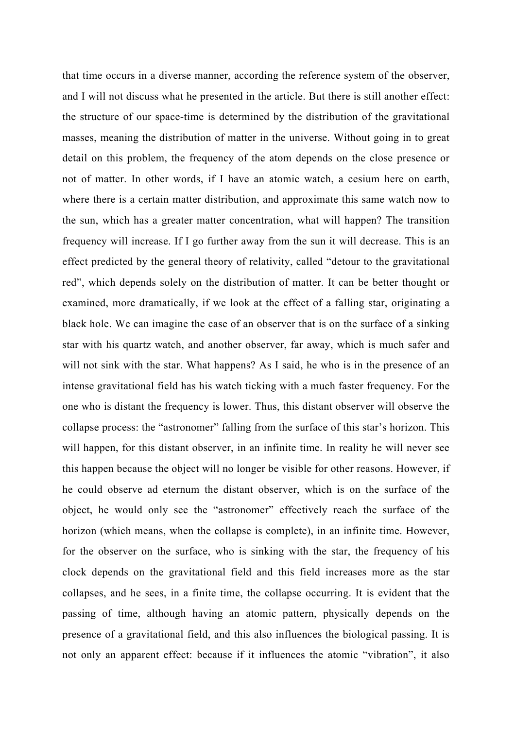that time occurs in a diverse manner, according the reference system of the observer, and I will not discuss what he presented in the article. But there is still another effect: the structure of our space-time is determined by the distribution of the gravitational masses, meaning the distribution of matter in the universe. Without going in to great detail on this problem, the frequency of the atom depends on the close presence or not of matter. In other words, if I have an atomic watch, a cesium here on earth, where there is a certain matter distribution, and approximate this same watch now to the sun, which has a greater matter concentration, what will happen? The transition frequency will increase. If I go further away from the sun it will decrease. This is an effect predicted by the general theory of relativity, called "detour to the gravitational red", which depends solely on the distribution of matter. It can be better thought or examined, more dramatically, if we look at the effect of a falling star, originating a black hole. We can imagine the case of an observer that is on the surface of a sinking star with his quartz watch, and another observer, far away, which is much safer and will not sink with the star. What happens? As I said, he who is in the presence of an intense gravitational field has his watch ticking with a much faster frequency. For the one who is distant the frequency is lower. Thus, this distant observer will observe the collapse process: the "astronomer" falling from the surface of this star's horizon. This will happen, for this distant observer, in an infinite time. In reality he will never see this happen because the object will no longer be visible for other reasons. However, if he could observe ad eternum the distant observer, which is on the surface of the object, he would only see the "astronomer" effectively reach the surface of the horizon (which means, when the collapse is complete), in an infinite time. However, for the observer on the surface, who is sinking with the star, the frequency of his clock depends on the gravitational field and this field increases more as the star collapses, and he sees, in a finite time, the collapse occurring. It is evident that the passing of time, although having an atomic pattern, physically depends on the presence of a gravitational field, and this also influences the biological passing. It is not only an apparent effect: because if it influences the atomic "vibration", it also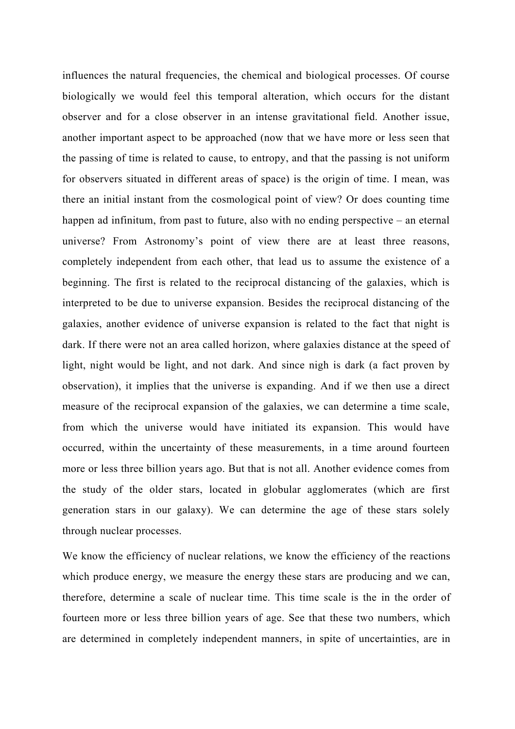influences the natural frequencies, the chemical and biological processes. Of course biologically we would feel this temporal alteration, which occurs for the distant observer and for a close observer in an intense gravitational field. Another issue, another important aspect to be approached (now that we have more or less seen that the passing of time is related to cause, to entropy, and that the passing is not uniform for observers situated in different areas of space) is the origin of time. I mean, was there an initial instant from the cosmological point of view? Or does counting time happen ad infinitum, from past to future, also with no ending perspective – an eternal universe? From Astronomy's point of view there are at least three reasons, completely independent from each other, that lead us to assume the existence of a beginning. The first is related to the reciprocal distancing of the galaxies, which is interpreted to be due to universe expansion. Besides the reciprocal distancing of the galaxies, another evidence of universe expansion is related to the fact that night is dark. If there were not an area called horizon, where galaxies distance at the speed of light, night would be light, and not dark. And since nigh is dark (a fact proven by observation), it implies that the universe is expanding. And if we then use a direct measure of the reciprocal expansion of the galaxies, we can determine a time scale, from which the universe would have initiated its expansion. This would have occurred, within the uncertainty of these measurements, in a time around fourteen more or less three billion years ago. But that is not all. Another evidence comes from the study of the older stars, located in globular agglomerates (which are first generation stars in our galaxy). We can determine the age of these stars solely through nuclear processes.

We know the efficiency of nuclear relations, we know the efficiency of the reactions which produce energy, we measure the energy these stars are producing and we can, therefore, determine a scale of nuclear time. This time scale is the in the order of fourteen more or less three billion years of age. See that these two numbers, which are determined in completely independent manners, in spite of uncertainties, are in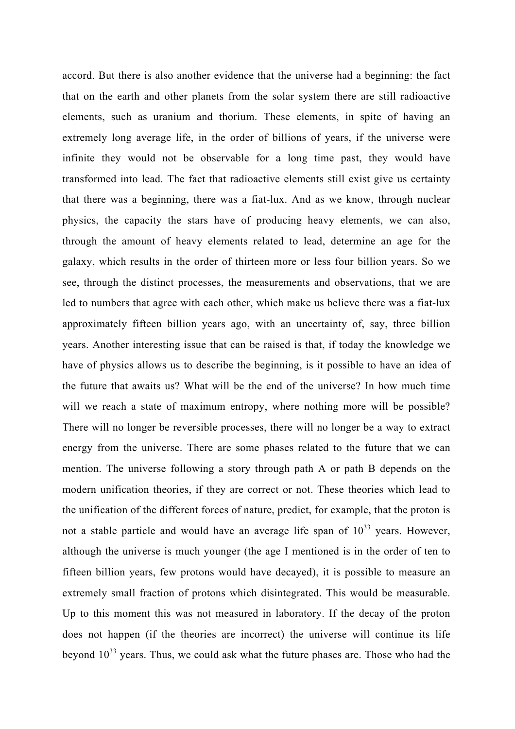accord. But there is also another evidence that the universe had a beginning: the fact that on the earth and other planets from the solar system there are still radioactive elements, such as uranium and thorium. These elements, in spite of having an extremely long average life, in the order of billions of years, if the universe were infinite they would not be observable for a long time past, they would have transformed into lead. The fact that radioactive elements still exist give us certainty that there was a beginning, there was a fiat-lux. And as we know, through nuclear physics, the capacity the stars have of producing heavy elements, we can also, through the amount of heavy elements related to lead, determine an age for the galaxy, which results in the order of thirteen more or less four billion years. So we see, through the distinct processes, the measurements and observations, that we are led to numbers that agree with each other, which make us believe there was a fiat-lux approximately fifteen billion years ago, with an uncertainty of, say, three billion years. Another interesting issue that can be raised is that, if today the knowledge we have of physics allows us to describe the beginning, is it possible to have an idea of the future that awaits us? What will be the end of the universe? In how much time will we reach a state of maximum entropy, where nothing more will be possible? There will no longer be reversible processes, there will no longer be a way to extract energy from the universe. There are some phases related to the future that we can mention. The universe following a story through path A or path B depends on the modern unification theories, if they are correct or not. These theories which lead to the unification of the different forces of nature, predict, for example, that the proton is not a stable particle and would have an average life span of  $10^{33}$  years. However, although the universe is much younger (the age I mentioned is in the order of ten to fifteen billion years, few protons would have decayed), it is possible to measure an extremely small fraction of protons which disintegrated. This would be measurable. Up to this moment this was not measured in laboratory. If the decay of the proton does not happen (if the theories are incorrect) the universe will continue its life beyond  $10^{33}$  years. Thus, we could ask what the future phases are. Those who had the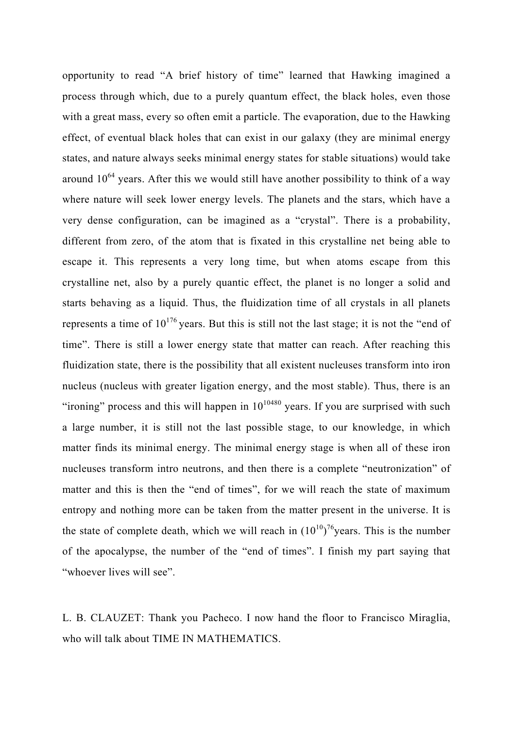opportunity to read "A brief history of time" learned that Hawking imagined a process through which, due to a purely quantum effect, the black holes, even those with a great mass, every so often emit a particle. The evaporation, due to the Hawking effect, of eventual black holes that can exist in our galaxy (they are minimal energy states, and nature always seeks minimal energy states for stable situations) would take around  $10^{64}$  years. After this we would still have another possibility to think of a way where nature will seek lower energy levels. The planets and the stars, which have a very dense configuration, can be imagined as a "crystal". There is a probability, different from zero, of the atom that is fixated in this crystalline net being able to escape it. This represents a very long time, but when atoms escape from this crystalline net, also by a purely quantic effect, the planet is no longer a solid and starts behaving as a liquid. Thus, the fluidization time of all crystals in all planets represents a time of  $10^{176}$  years. But this is still not the last stage; it is not the "end of time". There is still a lower energy state that matter can reach. After reaching this fluidization state, there is the possibility that all existent nucleuses transform into iron nucleus (nucleus with greater ligation energy, and the most stable). Thus, there is an "ironing" process and this will happen in  $10^{10480}$  years. If you are surprised with such a large number, it is still not the last possible stage, to our knowledge, in which matter finds its minimal energy. The minimal energy stage is when all of these iron nucleuses transform intro neutrons, and then there is a complete "neutronization" of matter and this is then the "end of times", for we will reach the state of maximum entropy and nothing more can be taken from the matter present in the universe. It is the state of complete death, which we will reach in  $(10^{10})^{76}$ years. This is the number of the apocalypse, the number of the "end of times". I finish my part saying that "whoever lives will see".

L. B. CLAUZET: Thank you Pacheco. I now hand the floor to Francisco Miraglia, who will talk about TIME IN MATHEMATICS.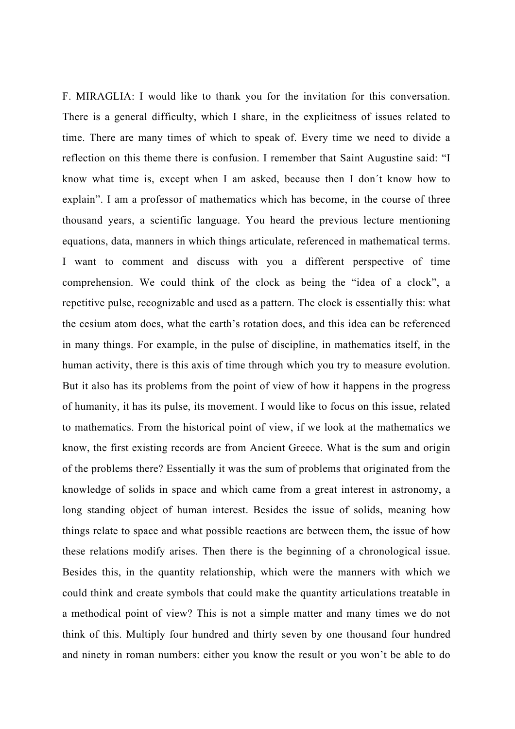F. MIRAGLIA: I would like to thank you for the invitation for this conversation. There is a general difficulty, which I share, in the explicitness of issues related to time. There are many times of which to speak of. Every time we need to divide a reflection on this theme there is confusion. I remember that Saint Augustine said: "I know what time is, except when I am asked, because then I don´t know how to explain". I am a professor of mathematics which has become, in the course of three thousand years, a scientific language. You heard the previous lecture mentioning equations, data, manners in which things articulate, referenced in mathematical terms. I want to comment and discuss with you a different perspective of time comprehension. We could think of the clock as being the "idea of a clock", a repetitive pulse, recognizable and used as a pattern. The clock is essentially this: what the cesium atom does, what the earth's rotation does, and this idea can be referenced in many things. For example, in the pulse of discipline, in mathematics itself, in the human activity, there is this axis of time through which you try to measure evolution. But it also has its problems from the point of view of how it happens in the progress of humanity, it has its pulse, its movement. I would like to focus on this issue, related to mathematics. From the historical point of view, if we look at the mathematics we know, the first existing records are from Ancient Greece. What is the sum and origin of the problems there? Essentially it was the sum of problems that originated from the knowledge of solids in space and which came from a great interest in astronomy, a long standing object of human interest. Besides the issue of solids, meaning how things relate to space and what possible reactions are between them, the issue of how these relations modify arises. Then there is the beginning of a chronological issue. Besides this, in the quantity relationship, which were the manners with which we could think and create symbols that could make the quantity articulations treatable in a methodical point of view? This is not a simple matter and many times we do not think of this. Multiply four hundred and thirty seven by one thousand four hundred and ninety in roman numbers: either you know the result or you won't be able to do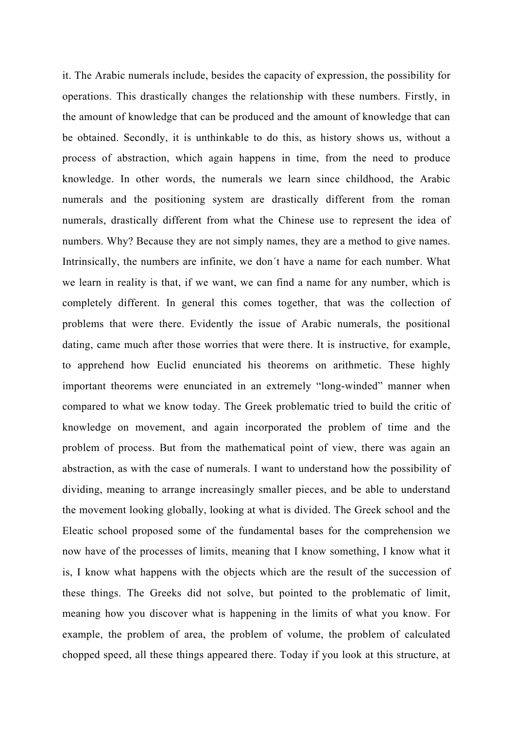it. The Arabic numerals include, besides the capacity of expression, the possibility for operations. This drastically changes the relationship with these numbers. Firstly, in the amount of knowledge that can be produced and the amount of knowledge that can be obtained. Secondly, it is unthinkable to do this, as history shows us, without a process of abstraction, which again happens in time, from the need to produce knowledge. In other words, the numerals we learn since childhood, the Arabic numerals and the positioning system are drastically different from the roman numerals, drastically different from what the Chinese use to represent the idea of numbers. Why? Because they are not simply names, they are a method to give names. Intrinsically, the numbers are infinite, we don´t have a name for each number. What we learn in reality is that, if we want, we can find a name for any number, which is completely different. In general this comes together, that was the collection of problems that were there. Evidently the issue of Arabic numerals, the positional dating, came much after those worries that were there. It is instructive, for example, to apprehend how Euclid enunciated his theorems on arithmetic. These highly important theorems were enunciated in an extremely "long-winded" manner when compared to what we know today. The Greek problematic tried to build the critic of knowledge on movement, and again incorporated the problem of time and the problem of process. But from the mathematical point of view, there was again an abstraction, as with the case of numerals. I want to understand how the possibility of dividing, meaning to arrange increasingly smaller pieces, and be able to understand the movement looking globally, looking at what is divided. The Greek school and the Eleatic school proposed some of the fundamental bases for the comprehension we now have of the processes of limits, meaning that I know something, I know what it is, I know what happens with the objects which are the result of the succession of these things. The Greeks did not solve, but pointed to the problematic of limit, meaning how you discover what is happening in the limits of what you know. For example, the problem of area, the problem of volume, the problem of calculated chopped speed, all these things appeared there. Today if you look at this structure, at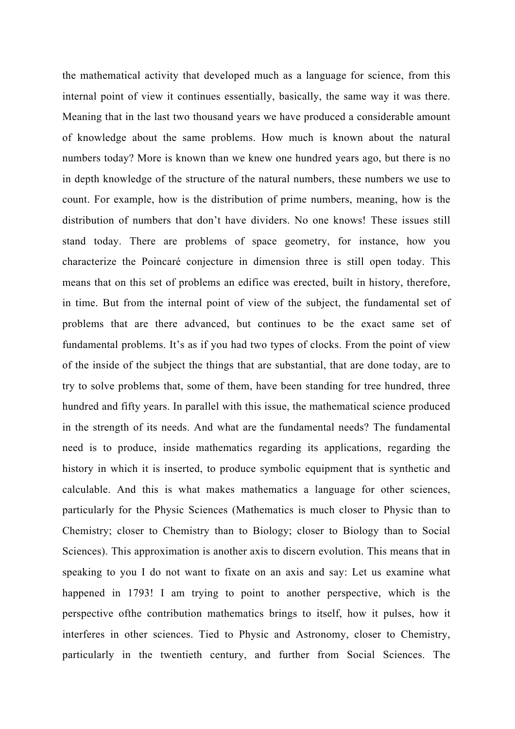the mathematical activity that developed much as a language for science, from this internal point of view it continues essentially, basically, the same way it was there. Meaning that in the last two thousand years we have produced a considerable amount of knowledge about the same problems. How much is known about the natural numbers today? More is known than we knew one hundred years ago, but there is no in depth knowledge of the structure of the natural numbers, these numbers we use to count. For example, how is the distribution of prime numbers, meaning, how is the distribution of numbers that don't have dividers. No one knows! These issues still stand today. There are problems of space geometry, for instance, how you characterize the Poincaré conjecture in dimension three is still open today. This means that on this set of problems an edifice was erected, built in history, therefore, in time. But from the internal point of view of the subject, the fundamental set of problems that are there advanced, but continues to be the exact same set of fundamental problems. It's as if you had two types of clocks. From the point of view of the inside of the subject the things that are substantial, that are done today, are to try to solve problems that, some of them, have been standing for tree hundred, three hundred and fifty years. In parallel with this issue, the mathematical science produced in the strength of its needs. And what are the fundamental needs? The fundamental need is to produce, inside mathematics regarding its applications, regarding the history in which it is inserted, to produce symbolic equipment that is synthetic and calculable. And this is what makes mathematics a language for other sciences, particularly for the Physic Sciences (Mathematics is much closer to Physic than to Chemistry; closer to Chemistry than to Biology; closer to Biology than to Social Sciences). This approximation is another axis to discern evolution. This means that in speaking to you I do not want to fixate on an axis and say: Let us examine what happened in 1793! I am trying to point to another perspective, which is the perspective ofthe contribution mathematics brings to itself, how it pulses, how it interferes in other sciences. Tied to Physic and Astronomy, closer to Chemistry, particularly in the twentieth century, and further from Social Sciences. The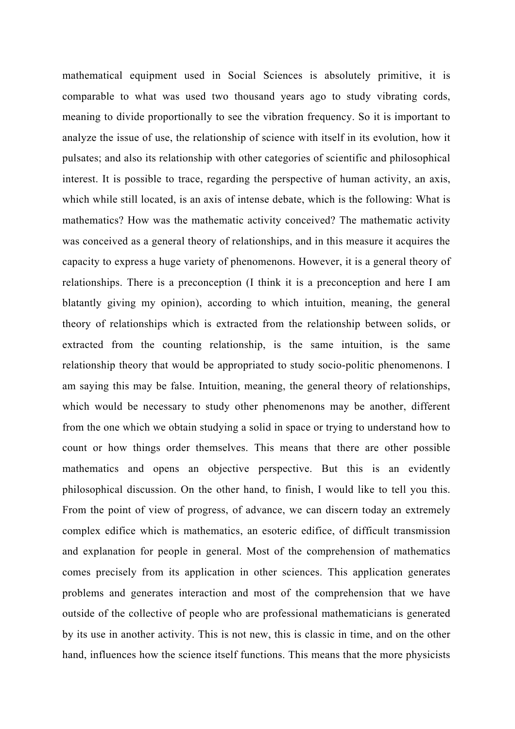mathematical equipment used in Social Sciences is absolutely primitive, it is comparable to what was used two thousand years ago to study vibrating cords, meaning to divide proportionally to see the vibration frequency. So it is important to analyze the issue of use, the relationship of science with itself in its evolution, how it pulsates; and also its relationship with other categories of scientific and philosophical interest. It is possible to trace, regarding the perspective of human activity, an axis, which while still located, is an axis of intense debate, which is the following: What is mathematics? How was the mathematic activity conceived? The mathematic activity was conceived as a general theory of relationships, and in this measure it acquires the capacity to express a huge variety of phenomenons. However, it is a general theory of relationships. There is a preconception (I think it is a preconception and here I am blatantly giving my opinion), according to which intuition, meaning, the general theory of relationships which is extracted from the relationship between solids, or extracted from the counting relationship, is the same intuition, is the same relationship theory that would be appropriated to study socio-politic phenomenons. I am saying this may be false. Intuition, meaning, the general theory of relationships, which would be necessary to study other phenomenons may be another, different from the one which we obtain studying a solid in space or trying to understand how to count or how things order themselves. This means that there are other possible mathematics and opens an objective perspective. But this is an evidently philosophical discussion. On the other hand, to finish, I would like to tell you this. From the point of view of progress, of advance, we can discern today an extremely complex edifice which is mathematics, an esoteric edifice, of difficult transmission and explanation for people in general. Most of the comprehension of mathematics comes precisely from its application in other sciences. This application generates problems and generates interaction and most of the comprehension that we have outside of the collective of people who are professional mathematicians is generated by its use in another activity. This is not new, this is classic in time, and on the other hand, influences how the science itself functions. This means that the more physicists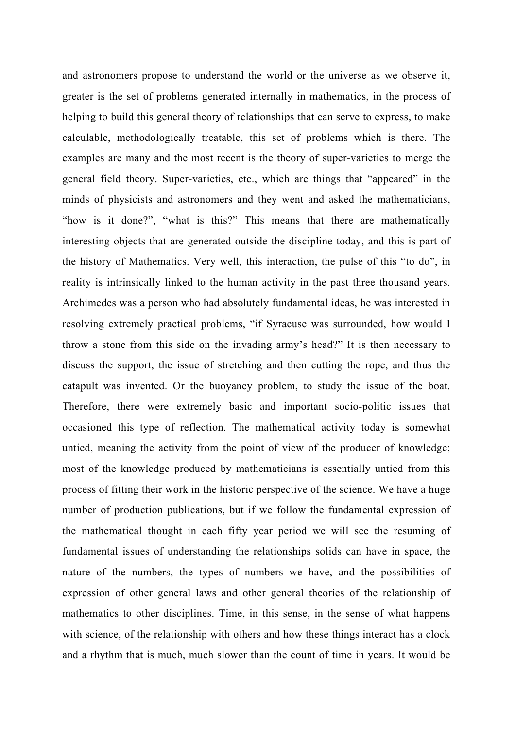and astronomers propose to understand the world or the universe as we observe it, greater is the set of problems generated internally in mathematics, in the process of helping to build this general theory of relationships that can serve to express, to make calculable, methodologically treatable, this set of problems which is there. The examples are many and the most recent is the theory of super-varieties to merge the general field theory. Super-varieties, etc., which are things that "appeared" in the minds of physicists and astronomers and they went and asked the mathematicians, "how is it done?", "what is this?" This means that there are mathematically interesting objects that are generated outside the discipline today, and this is part of the history of Mathematics. Very well, this interaction, the pulse of this "to do", in reality is intrinsically linked to the human activity in the past three thousand years. Archimedes was a person who had absolutely fundamental ideas, he was interested in resolving extremely practical problems, "if Syracuse was surrounded, how would I throw a stone from this side on the invading army's head?" It is then necessary to discuss the support, the issue of stretching and then cutting the rope, and thus the catapult was invented. Or the buoyancy problem, to study the issue of the boat. Therefore, there were extremely basic and important socio-politic issues that occasioned this type of reflection. The mathematical activity today is somewhat untied, meaning the activity from the point of view of the producer of knowledge; most of the knowledge produced by mathematicians is essentially untied from this process of fitting their work in the historic perspective of the science. We have a huge number of production publications, but if we follow the fundamental expression of the mathematical thought in each fifty year period we will see the resuming of fundamental issues of understanding the relationships solids can have in space, the nature of the numbers, the types of numbers we have, and the possibilities of expression of other general laws and other general theories of the relationship of mathematics to other disciplines. Time, in this sense, in the sense of what happens with science, of the relationship with others and how these things interact has a clock and a rhythm that is much, much slower than the count of time in years. It would be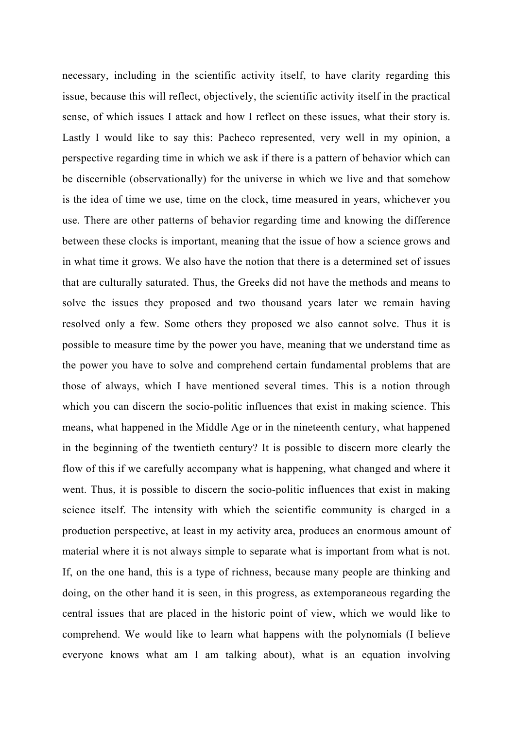necessary, including in the scientific activity itself, to have clarity regarding this issue, because this will reflect, objectively, the scientific activity itself in the practical sense, of which issues I attack and how I reflect on these issues, what their story is. Lastly I would like to say this: Pacheco represented, very well in my opinion, a perspective regarding time in which we ask if there is a pattern of behavior which can be discernible (observationally) for the universe in which we live and that somehow is the idea of time we use, time on the clock, time measured in years, whichever you use. There are other patterns of behavior regarding time and knowing the difference between these clocks is important, meaning that the issue of how a science grows and in what time it grows. We also have the notion that there is a determined set of issues that are culturally saturated. Thus, the Greeks did not have the methods and means to solve the issues they proposed and two thousand years later we remain having resolved only a few. Some others they proposed we also cannot solve. Thus it is possible to measure time by the power you have, meaning that we understand time as the power you have to solve and comprehend certain fundamental problems that are those of always, which I have mentioned several times. This is a notion through which you can discern the socio-politic influences that exist in making science. This means, what happened in the Middle Age or in the nineteenth century, what happened in the beginning of the twentieth century? It is possible to discern more clearly the flow of this if we carefully accompany what is happening, what changed and where it went. Thus, it is possible to discern the socio-politic influences that exist in making science itself. The intensity with which the scientific community is charged in a production perspective, at least in my activity area, produces an enormous amount of material where it is not always simple to separate what is important from what is not. If, on the one hand, this is a type of richness, because many people are thinking and doing, on the other hand it is seen, in this progress, as extemporaneous regarding the central issues that are placed in the historic point of view, which we would like to comprehend. We would like to learn what happens with the polynomials (I believe everyone knows what am I am talking about), what is an equation involving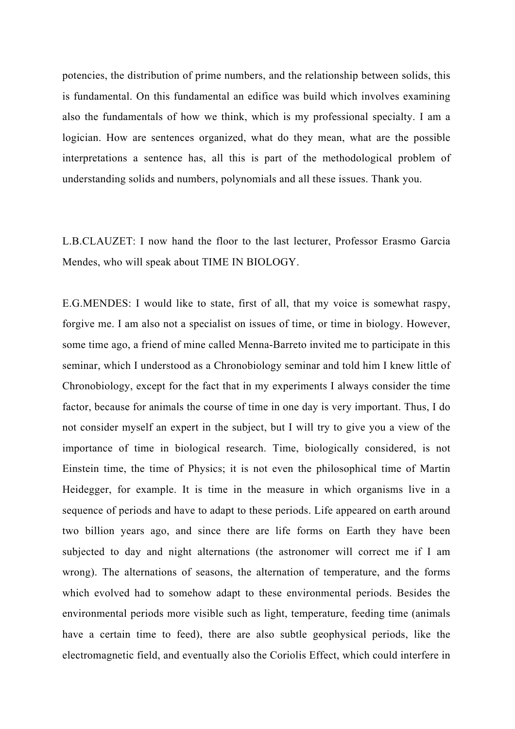potencies, the distribution of prime numbers, and the relationship between solids, this is fundamental. On this fundamental an edifice was build which involves examining also the fundamentals of how we think, which is my professional specialty. I am a logician. How are sentences organized, what do they mean, what are the possible interpretations a sentence has, all this is part of the methodological problem of understanding solids and numbers, polynomials and all these issues. Thank you.

L.B.CLAUZET: I now hand the floor to the last lecturer, Professor Erasmo Garcia Mendes, who will speak about TIME IN BIOLOGY.

E.G.MENDES: I would like to state, first of all, that my voice is somewhat raspy, forgive me. I am also not a specialist on issues of time, or time in biology. However, some time ago, a friend of mine called Menna-Barreto invited me to participate in this seminar, which I understood as a Chronobiology seminar and told him I knew little of Chronobiology, except for the fact that in my experiments I always consider the time factor, because for animals the course of time in one day is very important. Thus, I do not consider myself an expert in the subject, but I will try to give you a view of the importance of time in biological research. Time, biologically considered, is not Einstein time, the time of Physics; it is not even the philosophical time of Martin Heidegger, for example. It is time in the measure in which organisms live in a sequence of periods and have to adapt to these periods. Life appeared on earth around two billion years ago, and since there are life forms on Earth they have been subjected to day and night alternations (the astronomer will correct me if I am wrong). The alternations of seasons, the alternation of temperature, and the forms which evolved had to somehow adapt to these environmental periods. Besides the environmental periods more visible such as light, temperature, feeding time (animals have a certain time to feed), there are also subtle geophysical periods, like the electromagnetic field, and eventually also the Coriolis Effect, which could interfere in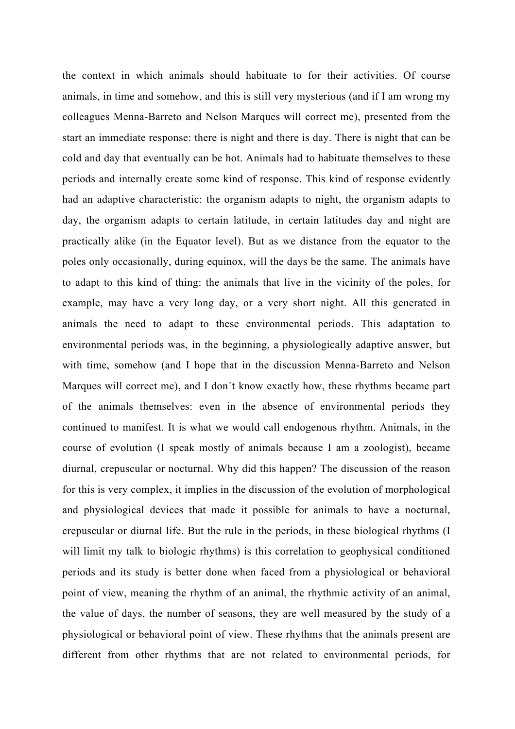the context in which animals should habituate to for their activities. Of course animals, in time and somehow, and this is still very mysterious (and if I am wrong my colleagues Menna-Barreto and Nelson Marques will correct me), presented from the start an immediate response: there is night and there is day. There is night that can be cold and day that eventually can be hot. Animals had to habituate themselves to these periods and internally create some kind of response. This kind of response evidently had an adaptive characteristic: the organism adapts to night, the organism adapts to day, the organism adapts to certain latitude, in certain latitudes day and night are practically alike (in the Equator level). But as we distance from the equator to the poles only occasionally, during equinox, will the days be the same. The animals have to adapt to this kind of thing: the animals that live in the vicinity of the poles, for example, may have a very long day, or a very short night. All this generated in animals the need to adapt to these environmental periods. This adaptation to environmental periods was, in the beginning, a physiologically adaptive answer, but with time, somehow (and I hope that in the discussion Menna-Barreto and Nelson Marques will correct me), and I don´t know exactly how, these rhythms became part of the animals themselves: even in the absence of environmental periods they continued to manifest. It is what we would call endogenous rhythm. Animals, in the course of evolution (I speak mostly of animals because I am a zoologist), became diurnal, crepuscular or nocturnal. Why did this happen? The discussion of the reason for this is very complex, it implies in the discussion of the evolution of morphological and physiological devices that made it possible for animals to have a nocturnal, crepuscular or diurnal life. But the rule in the periods, in these biological rhythms (I will limit my talk to biologic rhythms) is this correlation to geophysical conditioned periods and its study is better done when faced from a physiological or behavioral point of view, meaning the rhythm of an animal, the rhythmic activity of an animal, the value of days, the number of seasons, they are well measured by the study of a physiological or behavioral point of view. These rhythms that the animals present are different from other rhythms that are not related to environmental periods, for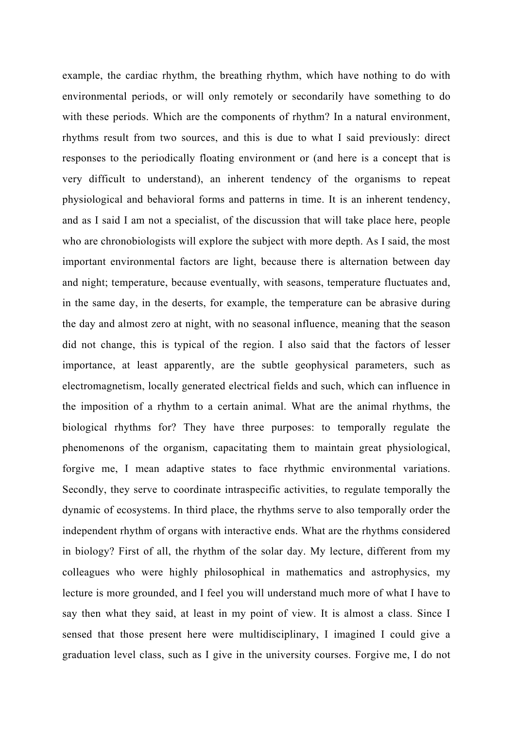example, the cardiac rhythm, the breathing rhythm, which have nothing to do with environmental periods, or will only remotely or secondarily have something to do with these periods. Which are the components of rhythm? In a natural environment, rhythms result from two sources, and this is due to what I said previously: direct responses to the periodically floating environment or (and here is a concept that is very difficult to understand), an inherent tendency of the organisms to repeat physiological and behavioral forms and patterns in time. It is an inherent tendency, and as I said I am not a specialist, of the discussion that will take place here, people who are chronobiologists will explore the subject with more depth. As I said, the most important environmental factors are light, because there is alternation between day and night; temperature, because eventually, with seasons, temperature fluctuates and, in the same day, in the deserts, for example, the temperature can be abrasive during the day and almost zero at night, with no seasonal influence, meaning that the season did not change, this is typical of the region. I also said that the factors of lesser importance, at least apparently, are the subtle geophysical parameters, such as electromagnetism, locally generated electrical fields and such, which can influence in the imposition of a rhythm to a certain animal. What are the animal rhythms, the biological rhythms for? They have three purposes: to temporally regulate the phenomenons of the organism, capacitating them to maintain great physiological, forgive me, I mean adaptive states to face rhythmic environmental variations. Secondly, they serve to coordinate intraspecific activities, to regulate temporally the dynamic of ecosystems. In third place, the rhythms serve to also temporally order the independent rhythm of organs with interactive ends. What are the rhythms considered in biology? First of all, the rhythm of the solar day. My lecture, different from my colleagues who were highly philosophical in mathematics and astrophysics, my lecture is more grounded, and I feel you will understand much more of what I have to say then what they said, at least in my point of view. It is almost a class. Since I sensed that those present here were multidisciplinary, I imagined I could give a graduation level class, such as I give in the university courses. Forgive me, I do not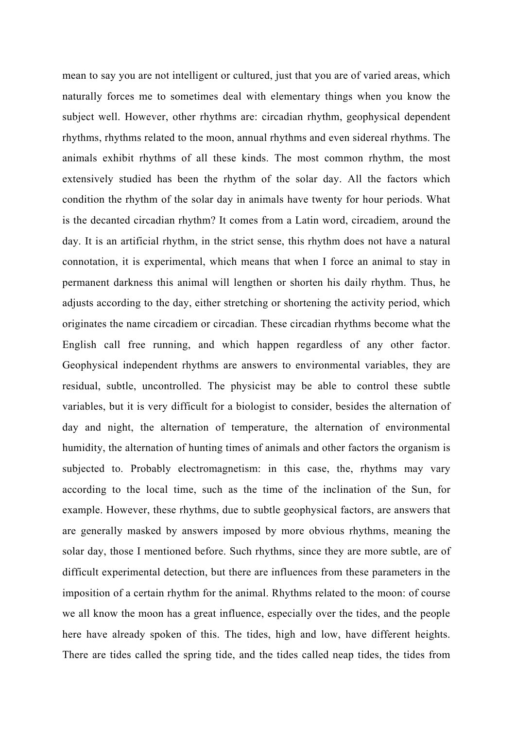mean to say you are not intelligent or cultured, just that you are of varied areas, which naturally forces me to sometimes deal with elementary things when you know the subject well. However, other rhythms are: circadian rhythm, geophysical dependent rhythms, rhythms related to the moon, annual rhythms and even sidereal rhythms. The animals exhibit rhythms of all these kinds. The most common rhythm, the most extensively studied has been the rhythm of the solar day. All the factors which condition the rhythm of the solar day in animals have twenty for hour periods. What is the decanted circadian rhythm? It comes from a Latin word, circadiem, around the day. It is an artificial rhythm, in the strict sense, this rhythm does not have a natural connotation, it is experimental, which means that when I force an animal to stay in permanent darkness this animal will lengthen or shorten his daily rhythm. Thus, he adjusts according to the day, either stretching or shortening the activity period, which originates the name circadiem or circadian. These circadian rhythms become what the English call free running, and which happen regardless of any other factor. Geophysical independent rhythms are answers to environmental variables, they are residual, subtle, uncontrolled. The physicist may be able to control these subtle variables, but it is very difficult for a biologist to consider, besides the alternation of day and night, the alternation of temperature, the alternation of environmental humidity, the alternation of hunting times of animals and other factors the organism is subjected to. Probably electromagnetism: in this case, the, rhythms may vary according to the local time, such as the time of the inclination of the Sun, for example. However, these rhythms, due to subtle geophysical factors, are answers that are generally masked by answers imposed by more obvious rhythms, meaning the solar day, those I mentioned before. Such rhythms, since they are more subtle, are of difficult experimental detection, but there are influences from these parameters in the imposition of a certain rhythm for the animal. Rhythms related to the moon: of course we all know the moon has a great influence, especially over the tides, and the people here have already spoken of this. The tides, high and low, have different heights. There are tides called the spring tide, and the tides called neap tides, the tides from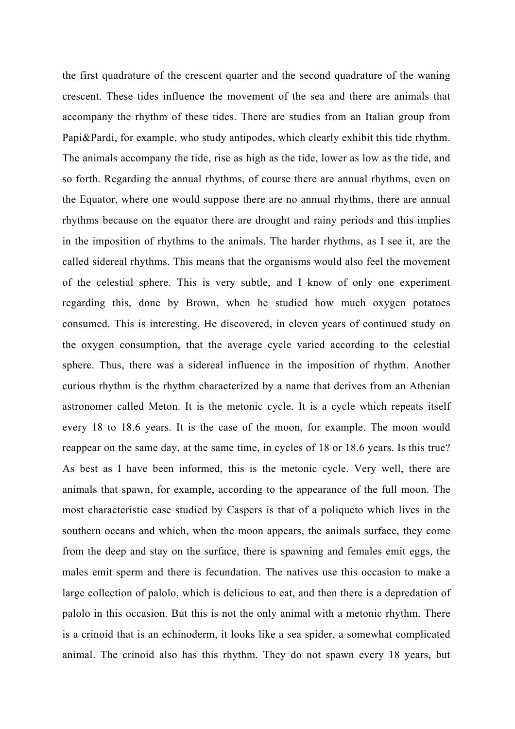the first quadrature of the crescent quarter and the second quadrature of the waning crescent. These tides influence the movement of the sea and there are animals that accompany the rhythm of these tides. There are studies from an Italian group from Papi&Pardi, for example, who study antipodes, which clearly exhibit this tide rhythm. The animals accompany the tide, rise as high as the tide, lower as low as the tide, and so forth. Regarding the annual rhythms, of course there are annual rhythms, even on the Equator, where one would suppose there are no annual rhythms, there are annual rhythms because on the equator there are drought and rainy periods and this implies in the imposition of rhythms to the animals. The harder rhythms, as I see it, are the called sidereal rhythms. This means that the organisms would also feel the movement of the celestial sphere. This is very subtle, and I know of only one experiment regarding this, done by Brown, when he studied how much oxygen potatoes consumed. This is interesting. He discovered, in eleven years of continued study on the oxygen consumption, that the average cycle varied according to the celestial sphere. Thus, there was a sidereal influence in the imposition of rhythm. Another curious rhythm is the rhythm characterized by a name that derives from an Athenian astronomer called Meton. It is the metonic cycle. It is a cycle which repeats itself every 18 to 18.6 years. It is the case of the moon, for example. The moon would reappear on the same day, at the same time, in cycles of 18 or 18.6 years. Is this true? As best as I have been informed, this is the metonic cycle. Very well, there are animals that spawn, for example, according to the appearance of the full moon. The most characteristic case studied by Caspers is that of a poliqueto which lives in the southern oceans and which, when the moon appears, the animals surface, they come from the deep and stay on the surface, there is spawning and females emit eggs, the males emit sperm and there is fecundation. The natives use this occasion to make a large collection of palolo, which is delicious to eat, and then there is a depredation of palolo in this occasion. But this is not the only animal with a metonic rhythm. There is a crinoid that is an echinoderm, it looks like a sea spider, a somewhat complicated animal. The crinoid also has this rhythm. They do not spawn every 18 years, but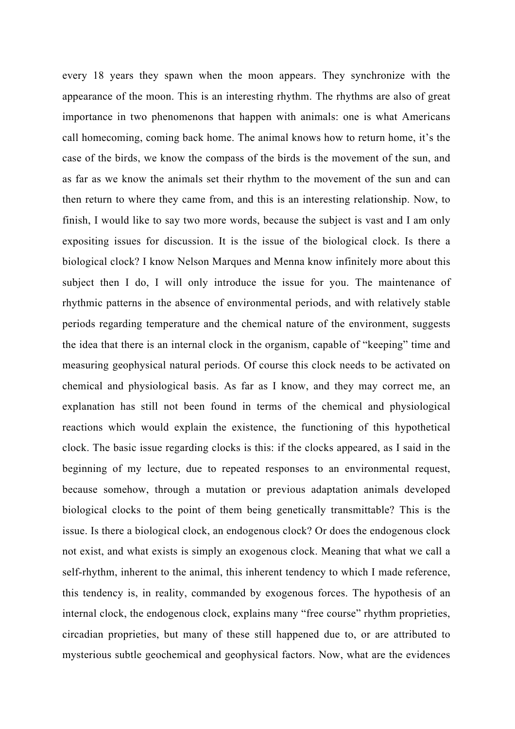every 18 years they spawn when the moon appears. They synchronize with the appearance of the moon. This is an interesting rhythm. The rhythms are also of great importance in two phenomenons that happen with animals: one is what Americans call homecoming, coming back home. The animal knows how to return home, it's the case of the birds, we know the compass of the birds is the movement of the sun, and as far as we know the animals set their rhythm to the movement of the sun and can then return to where they came from, and this is an interesting relationship. Now, to finish, I would like to say two more words, because the subject is vast and I am only expositing issues for discussion. It is the issue of the biological clock. Is there a biological clock? I know Nelson Marques and Menna know infinitely more about this subject then I do, I will only introduce the issue for you. The maintenance of rhythmic patterns in the absence of environmental periods, and with relatively stable periods regarding temperature and the chemical nature of the environment, suggests the idea that there is an internal clock in the organism, capable of "keeping" time and measuring geophysical natural periods. Of course this clock needs to be activated on chemical and physiological basis. As far as I know, and they may correct me, an explanation has still not been found in terms of the chemical and physiological reactions which would explain the existence, the functioning of this hypothetical clock. The basic issue regarding clocks is this: if the clocks appeared, as I said in the beginning of my lecture, due to repeated responses to an environmental request, because somehow, through a mutation or previous adaptation animals developed biological clocks to the point of them being genetically transmittable? This is the issue. Is there a biological clock, an endogenous clock? Or does the endogenous clock not exist, and what exists is simply an exogenous clock. Meaning that what we call a self-rhythm, inherent to the animal, this inherent tendency to which I made reference, this tendency is, in reality, commanded by exogenous forces. The hypothesis of an internal clock, the endogenous clock, explains many "free course" rhythm proprieties, circadian proprieties, but many of these still happened due to, or are attributed to mysterious subtle geochemical and geophysical factors. Now, what are the evidences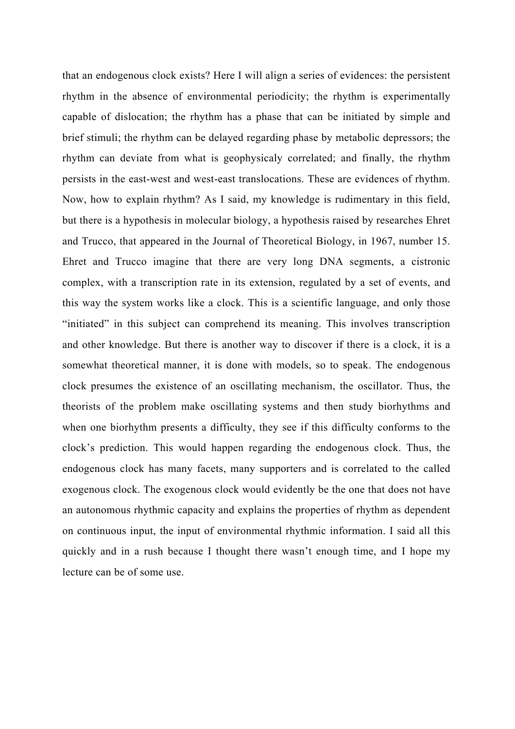that an endogenous clock exists? Here I will align a series of evidences: the persistent rhythm in the absence of environmental periodicity; the rhythm is experimentally capable of dislocation; the rhythm has a phase that can be initiated by simple and brief stimuli; the rhythm can be delayed regarding phase by metabolic depressors; the rhythm can deviate from what is geophysicaly correlated; and finally, the rhythm persists in the east-west and west-east translocations. These are evidences of rhythm. Now, how to explain rhythm? As I said, my knowledge is rudimentary in this field, but there is a hypothesis in molecular biology, a hypothesis raised by researches Ehret and Trucco, that appeared in the Journal of Theoretical Biology, in 1967, number 15. Ehret and Trucco imagine that there are very long DNA segments, a cistronic complex, with a transcription rate in its extension, regulated by a set of events, and this way the system works like a clock. This is a scientific language, and only those "initiated" in this subject can comprehend its meaning. This involves transcription and other knowledge. But there is another way to discover if there is a clock, it is a somewhat theoretical manner, it is done with models, so to speak. The endogenous clock presumes the existence of an oscillating mechanism, the oscillator. Thus, the theorists of the problem make oscillating systems and then study biorhythms and when one biorhythm presents a difficulty, they see if this difficulty conforms to the clock's prediction. This would happen regarding the endogenous clock. Thus, the endogenous clock has many facets, many supporters and is correlated to the called exogenous clock. The exogenous clock would evidently be the one that does not have an autonomous rhythmic capacity and explains the properties of rhythm as dependent on continuous input, the input of environmental rhythmic information. I said all this quickly and in a rush because I thought there wasn't enough time, and I hope my lecture can be of some use.